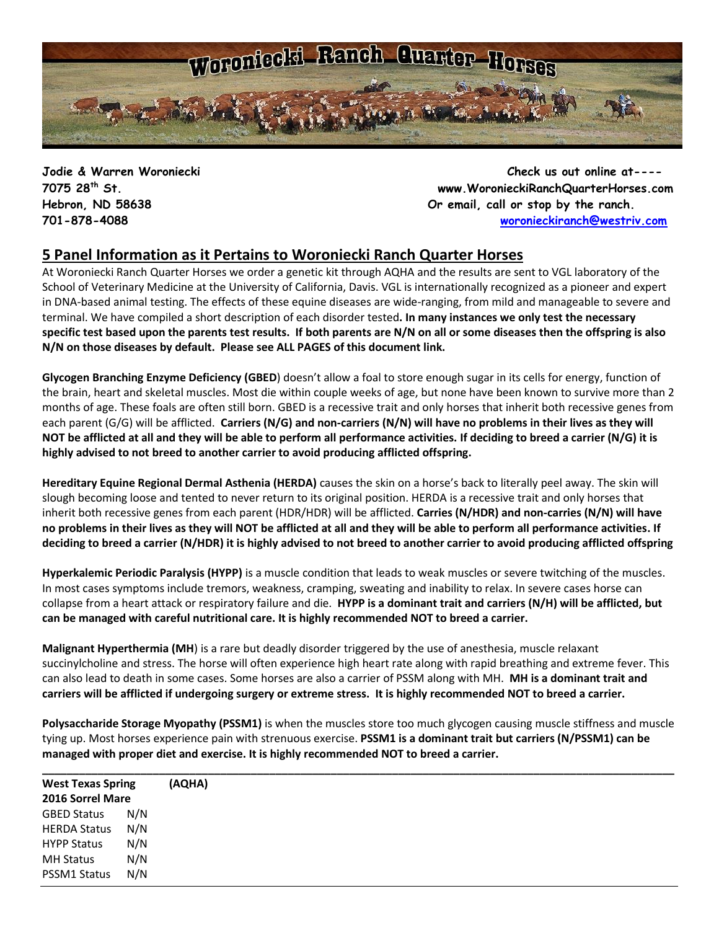

**Jodie & Warren Woroniecki Check us out online at---- 7075 28th St. www.WoronieckiRanchQuarterHorses.com Hebron, ND 58638 Or email, call or stop by the ranch. 701-878-4088 [woronieckiranch@westriv.com](mailto:woronieckiranch@westriv.com)**

## **5 Panel Information as it Pertains to Woroniecki Ranch Quarter Horses**

At Woroniecki Ranch Quarter Horses we order a genetic kit through AQHA and the results are sent to VGL laboratory of the School of Veterinary Medicine at the University of California, Davis. VGL is internationally recognized as a pioneer and expert in DNA-based animal testing. The [effects of these equine diseases](http://americashorsedaily.com/genetic-test-round-up) are wide-ranging, from mild and manageable to severe and terminal. We have compiled a short description of each disorder tested**. In many instances we only test the necessary specific test based upon the parents test results. If both parents are N/N on all or some diseases then the offspring is also N/N on those diseases by default. Please see ALL PAGES of this document link.**

**Glycogen Branching Enzyme Deficiency (GBED**) doesn't allow a foal to store enough sugar in its cells for energy, function of the brain, heart and skeletal muscles. Most die within couple weeks of age, but none have been known to survive more than 2 months of age. These foals are often still born. GBED is a recessive trait and only horses that inherit both recessive genes from each parent (G/G) will be afflicted. **Carriers (N/G) and non-carriers (N/N) will have no problems in their lives as they will NOT be afflicted at all and they will be able to perform all performance activities. If deciding to breed a carrier (N/G) it is highly advised to not breed to another carrier to avoid producing afflicted offspring.**

**Hereditary Equine Regional Dermal Asthenia (HERDA)** causes the skin on a horse's back to literally peel away. The skin will slough becoming loose and tented to never return to its original position. HERDA is a recessive trait and only horses that inherit both recessive genes from each parent (HDR/HDR) will be afflicted. **Carries (N/HDR) and non-carries (N/N) will have no problems in their lives as they will NOT be afflicted at all and they will be able to perform all performance activities. If deciding to breed a carrier (N/HDR) it is highly advised to not breed to another carrier to avoid producing afflicted offspring**

**Hyperkalemic Periodic Paralysis (HYPP)** is a muscle condition that leads to weak muscles or severe twitching of the muscles. In most cases symptoms include tremors, weakness, cramping, sweating and inability to relax. In severe cases horse can collapse from a heart attack or respiratory failure and die. **HYPP is a dominant trait and carriers (N/H) will be afflicted, but can be managed with careful nutritional care. It is highly recommended NOT to breed a carrier.**

**Malignant Hyperthermia (MH**) is a rare but deadly disorder triggered by the use of anesthesia, muscle relaxant succinylcholine and stress. The horse will often experience high heart rate along with rapid breathing and extreme fever. This can also lead to death in some cases. Some horses are also a carrier of PSSM along with MH. **MH is a dominant trait and carriers will be afflicted if undergoing surgery or extreme stress. It is highly recommended NOT to breed a carrier.** 

**Polysaccharide Storage Myopathy (PSSM1)** is when the muscles store too much glycogen causing muscle stiffness and muscle tying up. Most horses experience pain with strenuous exercise. **PSSM1 is a dominant trait but carriers (N/PSSM1) can be managed with proper diet and exercise. It is highly recommended NOT to breed a carrier.**

| <b>West Texas Spring</b><br>2016 Sorrel Mare |     | (AQHA) |  |
|----------------------------------------------|-----|--------|--|
|                                              |     |        |  |
| <b>GBED Status</b>                           | N/N |        |  |
| <b>HERDA Status</b>                          | N/N |        |  |
| <b>HYPP Status</b>                           | N/N |        |  |
| <b>MH Status</b>                             | N/N |        |  |
| PSSM1 Status                                 | N/N |        |  |